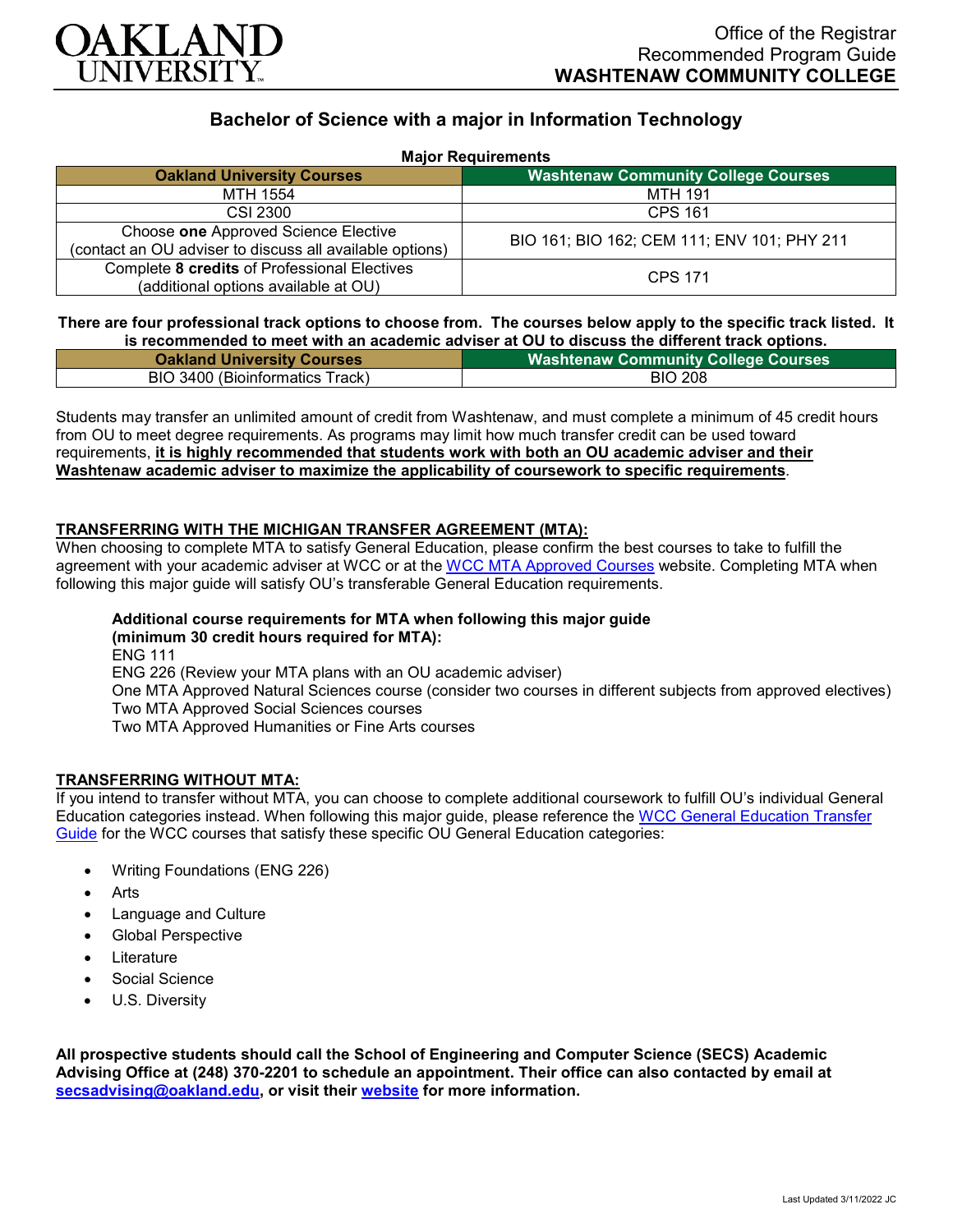

# **Bachelor of Science with a major in Information Technology**

|  |  | <b>Major Requirements</b> |  |
|--|--|---------------------------|--|
|--|--|---------------------------|--|

| <b>HUIST ROUGH CHISHIS</b>                                                                       |                                             |  |  |
|--------------------------------------------------------------------------------------------------|---------------------------------------------|--|--|
| <b>Oakland University Courses</b>                                                                | <b>Washtenaw Community College Courses</b>  |  |  |
| MTH 1554                                                                                         | MTH 191                                     |  |  |
| CSI 2300                                                                                         | <b>CPS 161</b>                              |  |  |
| Choose one Approved Science Elective<br>(contact an OU adviser to discuss all available options) | BIO 161; BIO 162; CEM 111; ENV 101; PHY 211 |  |  |
| Complete 8 credits of Professional Electives<br>(additional options available at OU)             | <b>CPS 171</b>                              |  |  |

### **There are four professional track options to choose from. The courses below apply to the specific track listed. It is recommended to meet with an academic adviser at OU to discuss the different track options.**

| <b>Oakland University Courses</b> |                |
|-----------------------------------|----------------|
| BIO 3400 (Bioinformatics Track)   | <b>BIO 208</b> |

Students may transfer an unlimited amount of credit from Washtenaw, and must complete a minimum of 45 credit hours from OU to meet degree requirements. As programs may limit how much transfer credit can be used toward requirements, **it is highly recommended that students work with both an OU academic adviser and their Washtenaw academic adviser to maximize the applicability of coursework to specific requirements**.

## **TRANSFERRING WITH THE MICHIGAN TRANSFER AGREEMENT (MTA):**

When choosing to complete MTA to satisfy General Education, please confirm the best courses to take to fulfill the agreement with your academic adviser at WCC or at the [WCC MTA Approved Courses](http://www.wccnet.edu/services/transferresources/mta/) website. Completing MTA when following this major guide will satisfy OU's transferable General Education requirements.

#### **Additional course requirements for MTA when following this major guide (minimum 30 credit hours required for MTA):**

ENG 111 ENG 226 (Review your MTA plans with an OU academic adviser) One MTA Approved Natural Sciences course (consider two courses in different subjects from approved electives) Two MTA Approved Social Sciences courses Two MTA Approved Humanities or Fine Arts courses

# **TRANSFERRING WITHOUT MTA:**

If you intend to transfer without MTA, you can choose to complete additional coursework to fulfill OU's individual General Education categories instead. When following this major guide, please reference the [WCC General Education Transfer](https://www.oakland.edu/Assets/Oakland/program-guides/washtenaw-community-college/university-general-education-requirements/Washtenaw%20Gen%20Ed.pdf)  [Guide](https://www.oakland.edu/Assets/Oakland/program-guides/washtenaw-community-college/university-general-education-requirements/Washtenaw%20Gen%20Ed.pdf) for the WCC courses that satisfy these specific OU General Education categories:

- Writing Foundations (ENG 226)
- Arts
- Language and Culture
- Global Perspective
- **Literature**
- Social Science
- U.S. Diversity

**All prospective students should call the School of Engineering and Computer Science (SECS) Academic Advising Office at (248) 370-2201 to schedule an appointment. Their office can also contacted by email at [secsadvising@oakland.edu,](mailto:secsadvising@oakland.edu) or visit their [website](https://wwwp.oakland.edu/secs/advising/) for more information.**